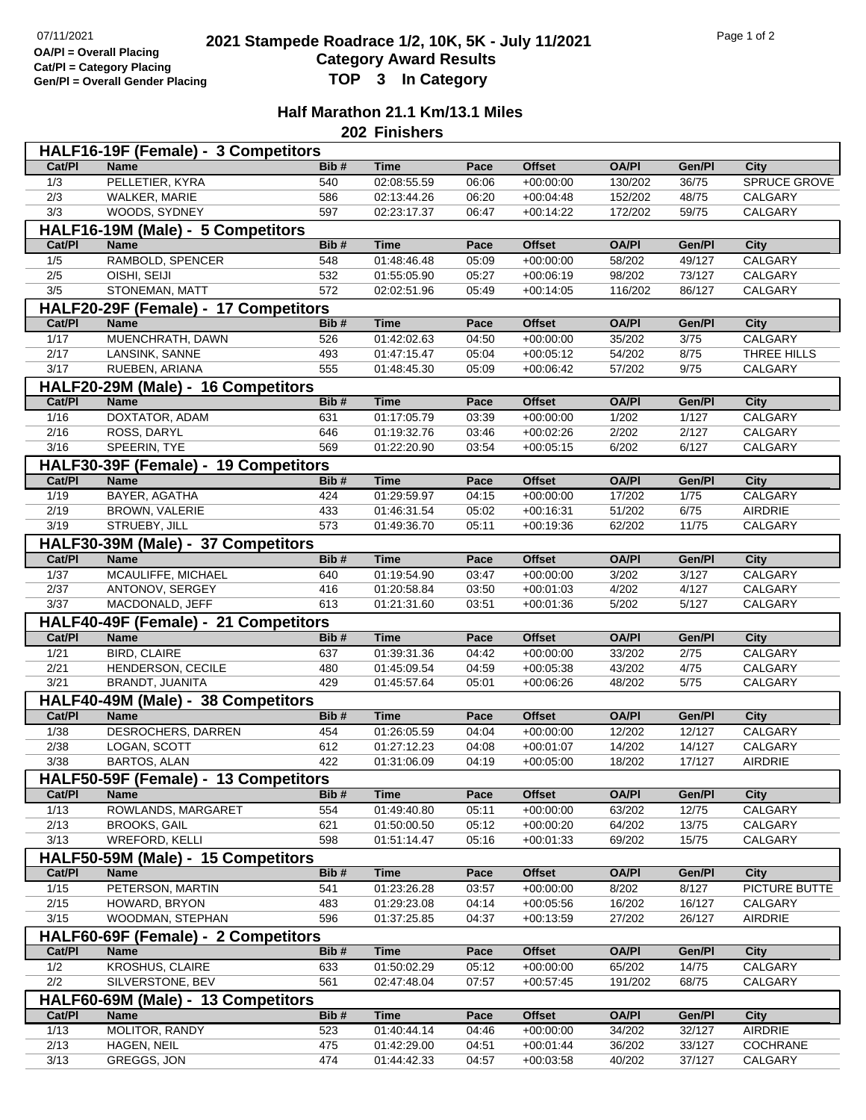## **2021 2021 Stampede Roadrace 1/2, 10K, 5K - July 11/2021** Page 1 of 2<br> **Computer Continues Continues Page 1** October 112, 10K, 5K - July 11/2021 **Category Award Results Gen/Pl = Overall Gender Placing TOP 3 In Category**

## **Half Marathon 21.1 Km/13.1 Miles**

**202 Finishers**

| HALF16-19F (Female) - 3 Competitors |                                      |             |                            |                |                            |                        |                  |                        |  |
|-------------------------------------|--------------------------------------|-------------|----------------------------|----------------|----------------------------|------------------------|------------------|------------------------|--|
| Cat/PI                              | <b>Name</b>                          | Bib#        | <b>Time</b>                | Pace           | <b>Offset</b>              | <b>OA/PI</b>           | Gen/Pl           | City                   |  |
| 1/3                                 | PELLETIER, KYRA                      | 540         | 02:08:55.59                | 06:06          | $+00:00:00$                | 130/202                | 36/75            | SPRUCE GROVE           |  |
| 2/3                                 | WALKER, MARIE                        | 586         | 02:13:44.26                | 06:20          | $+00:04:48$                | 152/202                | 48/75            | CALGARY                |  |
| 3/3                                 | WOODS, SYDNEY                        | 597         | 02:23:17.37                | 06:47          | $+00:14:22$                | 172/202                | 59/75            | CALGARY                |  |
|                                     | HALF16-19M (Male) - 5 Competitors    |             |                            |                |                            |                        |                  |                        |  |
| Cat/PI                              | <b>Name</b>                          | Bib#        | <b>Time</b>                | Pace           | <b>Offset</b>              | <b>OA/PI</b>           | Gen/Pl           | <b>City</b>            |  |
| 1/5                                 | RAMBOLD, SPENCER                     | 548         | 01:48:46.48                | 05:09          | $+00.00.00$                | 58/202                 | 49/127           | <b>CALGARY</b>         |  |
| 2/5                                 | OISHI, SEIJI                         | 532         | 01:55:05.90                | 05:27          | $+00:06:19$                | 98/202                 | 73/127           | CALGARY                |  |
| 3/5                                 | STONEMAN, MATT                       | 572         | 02:02:51.96                | 05:49          | $+00.14.05$                | 116/202                | 86/127           | CALGARY                |  |
|                                     | HALF20-29F (Female) - 17 Competitors |             |                            |                |                            |                        |                  |                        |  |
| Cat/PI                              | <b>Name</b>                          | Bib#        | <b>Time</b>                | Pace           | <b>Offset</b>              | <b>OA/PI</b>           | Gen/Pl           | <b>City</b>            |  |
| 1/17                                | MUENCHRATH, DAWN                     | 526         | 01:42:02.63                | 04:50          | $+00:00:00$                | 35/202                 | 3/75             | CALGARY                |  |
| 2/17                                | LANSINK, SANNE                       | 493         | 01:47:15.47                | 05:04          | $+00:05:12$                | 54/202                 | 8/75             | THREE HILLS            |  |
| 3/17                                | RUEBEN, ARIANA                       | 555         | 01:48:45.30                | 05:09          | $+00:06:42$                | 57/202                 | 9/75             | CALGARY                |  |
|                                     | HALF20-29M (Male) - 16 Competitors   |             |                            |                |                            |                        |                  |                        |  |
| Cat/PI                              | <b>Name</b>                          | Bib#        | <b>Time</b>                | Pace           | <b>Offset</b>              | <b>OA/PI</b>           | Gen/Pl           | <b>City</b>            |  |
| $\frac{1}{16}$                      | DOXTATOR, ADAM                       | 631         | 01:17:05.79                | 03:39          | $+00:00:00$                | 1/202                  | 1/127            | CALGARY                |  |
| 2/16                                | ROSS, DARYL                          | 646         | 01:19:32.76                | 03:46          | $+00:02:26$                | 2/202                  | 2/127            | CALGARY                |  |
| 3/16                                | SPEERIN, TYE                         | 569         | 01:22:20.90                | 03:54          | $+00:05:15$                | 6/202                  | 6/127            | CALGARY                |  |
|                                     | HALF30-39F (Female) - 19 Competitors |             |                            |                |                            |                        |                  |                        |  |
| Cat/PI                              | <b>Name</b>                          | Bib#        | <b>Time</b>                | Pace           | <b>Offset</b>              | <b>OA/PI</b>           | Gen/Pl           | <b>City</b>            |  |
| 1/19                                | BAYER, AGATHA                        | 424         | 01:29:59.97                | 04:15          | $+00:00:00$                | 17/202                 | 1/75             | CALGARY                |  |
| 2/19                                | BROWN, VALERIE                       | 433         | 01:46:31.54                | 05:02          | $+00:16:31$                | 51/202                 | 6/75             | AIRDRIE                |  |
| 3/19                                | STRUEBY, JILL                        | 573         | 01:49:36.70                | 05:11          | $+00:19:36$                | 62/202                 | 11/75            | CALGARY                |  |
|                                     | HALF30-39M (Male) - 37 Competitors   |             |                            |                |                            |                        |                  |                        |  |
| Cat/PI                              | <b>Name</b>                          | Bib#        | <b>Time</b>                | Pace           | <b>Offset</b>              | <b>OA/PI</b>           | Gen/Pl           | <b>City</b>            |  |
| $\frac{1}{37}$                      | MCAULIFFE, MICHAEL                   | 640         | 01:19:54.90                | 03:47          | $+00:00:00$                | 3/202                  | 3/127            | CALGARY                |  |
| 2/37                                | ANTONOV, SERGEY                      | 416         | 01:20:58.84                | 03:50          | $+00:01:03$                | 4/202                  | 4/127            | CALGARY                |  |
| 3/37                                | MACDONALD, JEFF                      | 613         | 01:21:31.60                | 03:51          | $+00:01:36$                | 5/202                  | 5/127            | CALGARY                |  |
|                                     | HALF40-49F (Female) - 21 Competitors |             |                            |                |                            |                        |                  |                        |  |
| Cat/PI                              | <b>Name</b>                          | Bib#        | <b>Time</b>                | Pace           | <b>Offset</b>              | <b>OA/PI</b>           | Gen/Pl           | <b>City</b>            |  |
| $\frac{1}{21}$                      | <b>BIRD, CLAIRE</b>                  | 637         | 01:39:31.36                | 04:42          | $+00:00:00$                | 33/202                 | 2/75             | <b>CALGARY</b>         |  |
| 2/21<br>3/21                        | HENDERSON, CECILE<br>BRANDT, JUANITA | 480<br>429  | 01:45:09.54<br>01:45:57.64 | 04:59<br>05:01 | $+00:05:38$<br>$+00:06:26$ | 43/202<br>48/202       | 4/75<br>$5/75$   | CALGARY<br>CALGARY     |  |
|                                     |                                      |             |                            |                |                            |                        |                  |                        |  |
|                                     | HALF40-49M (Male) - 38 Competitors   |             |                            |                |                            |                        |                  |                        |  |
| Cat/PI<br>1/38                      | <b>Name</b><br>DESROCHERS, DARREN    | Bib#<br>454 | <b>Time</b>                | Pace<br>04:04  | <b>Offset</b>              | <b>OA/PI</b><br>12/202 | Gen/Pl<br>12/127 | <b>City</b><br>CALGARY |  |
| 2/38                                | LOGAN, SCOTT                         | 612         | 01:26:05.59<br>01:27:12.23 | 04:08          | $+00:00:00$<br>$+00:01:07$ | 14/202                 | 14/127           | CALGARY                |  |
| 3/38                                | BARTOS, ALAN                         | 422         | 01:31:06.09                | 04:19          | $+00:05:00$                | 18/202                 | 17/127           | AIRDRIE                |  |
|                                     | HALF50-59F (Female) - 13 Competitors |             |                            |                |                            |                        |                  |                        |  |
| Cat/PI                              | <b>Name</b>                          | Bib#        | <b>Time</b>                | Pace           | <b>Offset</b>              | <b>OA/PI</b>           | Gen/Pl           | <b>City</b>            |  |
| 1/13                                | ROWLANDS, MARGARET                   | 554         | 01:49:40.80                | 05:11          | $+00:00:00$                | 63/202                 | 12/75            | <b>CALGARY</b>         |  |
| 2/13                                | <b>BROOKS, GAIL</b>                  | 621         | 01:50:00.50                | 05:12          | $+00:00:20$                | 64/202                 | 13/75            | CALGARY                |  |
| 3/13                                | <b>WREFORD, KELLI</b>                | 598         | 01:51:14.47                | 05:16          | $+00:01:33$                | 69/202                 | 15/75            | CALGARY                |  |
|                                     | HALF50-59M (Male) - 15 Competitors   |             |                            |                |                            |                        |                  |                        |  |
| Cat/PI                              | <b>Name</b>                          | Bib#        | <b>Time</b>                | Pace           | <b>Offset</b>              | <b>OA/PI</b>           | Gen/Pl           | <b>City</b>            |  |
| 1/15                                | PETERSON, MARTIN                     | 541         | 01:23:26.28                | 03:57          | $+00:00:00$                | 8/202                  | 8/127            | PICTURE BUTTE          |  |
| 2/15                                | HOWARD, BRYON                        | 483         | 01:29:23.08                | 04:14          | $+00:05:56$                | 16/202                 | 16/127           | CALGARY                |  |
| $\frac{3}{15}$                      | WOODMAN, STEPHAN                     | 596         | 01:37:25.85                | 04:37          | $+00:13:59$                | 27/202                 | 26/127           | AIRDRIE                |  |
|                                     | HALF60-69F (Female) - 2 Competitors  |             |                            |                |                            |                        |                  |                        |  |
| Cat/PI                              | <b>Name</b>                          | Bib#        | <b>Time</b>                | Pace           | <b>Offset</b>              | <b>OA/PI</b>           | Gen/Pl           | <b>City</b>            |  |
| 1/2                                 | <b>KROSHUS, CLAIRE</b>               | 633         | 01:50:02.29                | 05:12          | $+00:00:00$                | 65/202                 | 14/75            | CALGARY                |  |
| 2/2                                 | SILVERSTONE, BEV                     | 561         | 02:47:48.04                | 07:57          | $+00:57:45$                | 191/202                | 68/75            | CALGARY                |  |
|                                     | HALF60-69M (Male) - 13 Competitors   |             |                            |                |                            |                        |                  |                        |  |
| Cat/PI                              | Name                                 | Bib#        | <b>Time</b>                | Pace           | <b>Offset</b>              | <b>OA/PI</b>           | Gen/Pl           | City                   |  |
| 1/13                                | MOLITOR, RANDY                       | 523         | 01:40:44.14                | 04:46          | $+00:00:00$                | 34/202                 | 32/127           | AIRDRIE                |  |
| 2/13                                | HAGEN, NEIL                          | 475         | 01:42:29.00                | 04:51          | $+00:01:44$                | 36/202                 | 33/127           | COCHRANE               |  |
| $\frac{3}{13}$                      | GREGGS, JON                          | 474         | 01:44:42.33                | 04:57          | $+00:03:58$                | 40/202                 | 37/127           | CALGARY                |  |